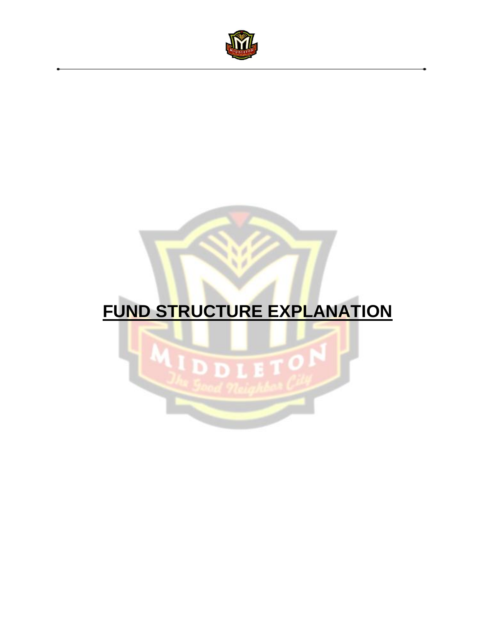

# **FUND STRUCTURE EXPLANATION**

ä

ï

Б

LETON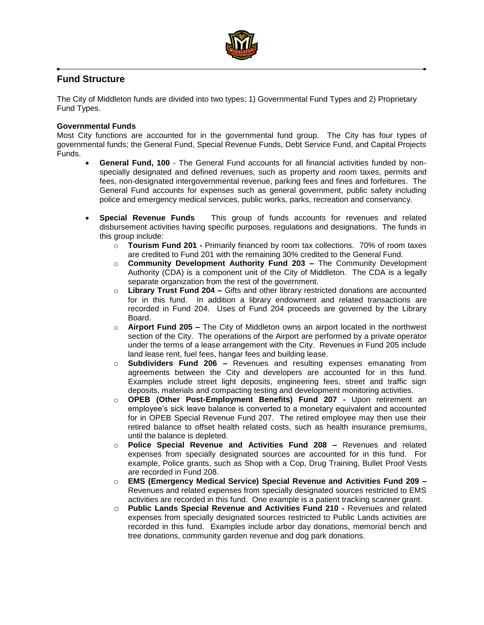

## **Fund Structure**

The City of Middleton funds are divided into two types; 1) Governmental Fund Types and 2) Proprietary Fund Types.

#### **Governmental Funds**

Most City functions are accounted for in the governmental fund group. The City has four types of governmental funds; the General Fund, Special Revenue Funds, Debt Service Fund, and Capital Projects Funds.

- **General Fund, 100** The General Fund accounts for all financial activities funded by nonspecially designated and defined revenues, such as property and room taxes, permits and fees, non-designated intergovernmental revenue, parking fees and fines and forfeitures. The General Fund accounts for expenses such as general government, public safety including police and emergency medical services, public works, parks, recreation and conservancy.
- **Special Revenue Funds** This group of funds accounts for revenues and related disbursement activities having specific purposes, regulations and designations. The funds in this group include:
	- o **Tourism Fund 201 -** Primarily financed by room tax collections. 70% of room taxes are credited to Fund 201 with the remaining 30% credited to the General Fund.
	- o **Community Development Authority Fund 203 –** The Community Development Authority (CDA) is a component unit of the City of Middleton. The CDA is a legally separate organization from the rest of the government.
	- o **Library Trust Fund 204 –** Gifts and other library restricted donations are accounted for in this fund. In addition a library endowment and related transactions are recorded in Fund 204. Uses of Fund 204 proceeds are governed by the Library Board.
	- o **Airport Fund 205 –** The City of Middleton owns an airport located in the northwest section of the City. The operations of the Airport are performed by a private operator under the terms of a lease arrangement with the City. Revenues in Fund 205 include land lease rent, fuel fees, hangar fees and building lease.
	- o **Subdividers Fund 206 –** Revenues and resulting expenses emanating from agreements between the City and developers are accounted for in this fund. Examples include street light deposits, engineering fees, street and traffic sign deposits, materials and compacting testing and development monitoring activities.
	- o **OPEB (Other Post-Employment Benefits) Fund 207 -** Upon retirement an employee's sick leave balance is converted to a monetary equivalent and accounted for in OPEB Special Revenue Fund 207. The retired employee may then use their retired balance to offset health related costs, such as health insurance premiums, until the balance is depleted.
	- o **Police Special Revenue and Activities Fund 208 –** Revenues and related expenses from specially designated sources are accounted for in this fund. For example, Police grants, such as Shop with a Cop, Drug Training, Bullet Proof Vests are recorded in Fund 208.
	- o **EMS (Emergency Medical Service) Special Revenue and Activities Fund 209 –** Revenues and related expenses from specially designated sources restricted to EMS activities are recorded in this fund. One example is a patient tracking scanner grant.
	- o **Public Lands Special Revenue and Activities Fund 210 -** Revenues and related expenses from specially designated sources restricted to Public Lands activities are recorded in this fund. Examples include arbor day donations, memorial bench and tree donations, community garden revenue and dog park donations.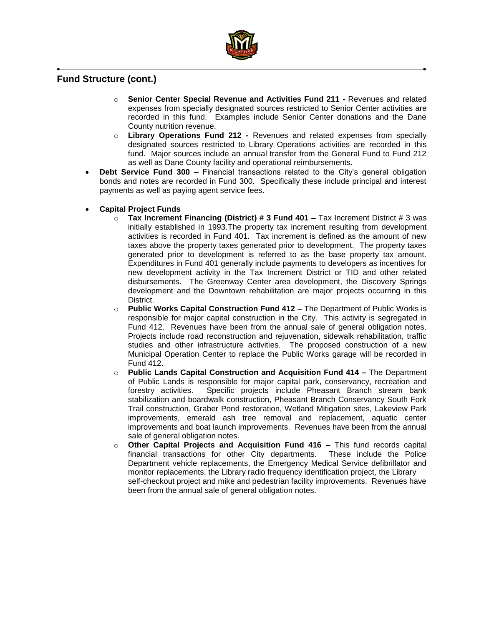

## **Fund Structure (cont.)**

- o **Senior Center Special Revenue and Activities Fund 211 -** Revenues and related expenses from specially designated sources restricted to Senior Center activities are recorded in this fund. Examples include Senior Center donations and the Dane County nutrition revenue.
- o **Library Operations Fund 212 -** Revenues and related expenses from specially designated sources restricted to Library Operations activities are recorded in this fund. Major sources include an annual transfer from the General Fund to Fund 212 as well as Dane County facility and operational reimbursements.
- **Debt Service Fund 300 –** Financial transactions related to the City's general obligation bonds and notes are recorded in Fund 300. Specifically these include principal and interest payments as well as paying agent service fees.
- **Capital Project Funds**
	- o **Tax Increment Financing (District) # 3 Fund 401 –** Tax Increment District # 3 was initially established in 1993.The property tax increment resulting from development activities is recorded in Fund 401. Tax increment is defined as the amount of new taxes above the property taxes generated prior to development. The property taxes generated prior to development is referred to as the base property tax amount. Expenditures in Fund 401 generally include payments to developers as incentives for new development activity in the Tax Increment District or TID and other related disbursements. The Greenway Center area development, the Discovery Springs development and the Downtown rehabilitation are major projects occurring in this District.
	- o **Public Works Capital Construction Fund 412 –** The Department of Public Works is responsible for major capital construction in the City. This activity is segregated in Fund 412. Revenues have been from the annual sale of general obligation notes. Projects include road reconstruction and rejuvenation, sidewalk rehabilitation, traffic studies and other infrastructure activities. The proposed construction of a new Municipal Operation Center to replace the Public Works garage will be recorded in Fund 412.
	- o **Public Lands Capital Construction and Acquisition Fund 414 –** The Department of Public Lands is responsible for major capital park, conservancy, recreation and forestry activities. Specific projects include Pheasant Branch stream bank stabilization and boardwalk construction, Pheasant Branch Conservancy South Fork Trail construction, Graber Pond restoration, Wetland Mitigation sites, Lakeview Park improvements, emerald ash tree removal and replacement, aquatic center improvements and boat launch improvements. Revenues have been from the annual sale of general obligation notes.
	- o **Other Capital Projects and Acquisition Fund 416 –** This fund records capital financial transactions for other City departments. These include the Police Department vehicle replacements, the Emergency Medical Service defibrillator and monitor replacements, the Library radio frequency identification project, the Library self-checkout project and mike and pedestrian facility improvements. Revenues have been from the annual sale of general obligation notes.